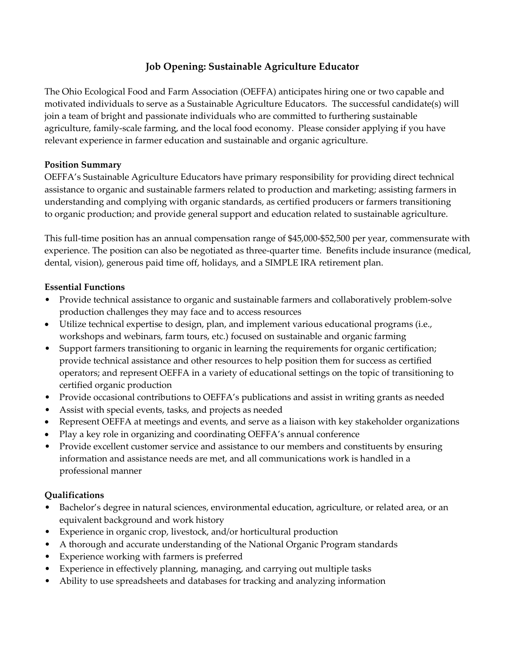# **Job Opening: Sustainable Agriculture Educator**

The Ohio Ecological Food and Farm Association (OEFFA) anticipates hiring one or two capable and motivated individuals to serve as a Sustainable Agriculture Educators. The successful candidate(s) will join a team of bright and passionate individuals who are committed to furthering sustainable agriculture, family-scale farming, and the local food economy. Please consider applying if you have relevant experience in farmer education and sustainable and organic agriculture.

## **Position Summary**

OEFFA's Sustainable Agriculture Educators have primary responsibility for providing direct technical assistance to organic and sustainable farmers related to production and marketing; assisting farmers in understanding and complying with organic standards, as certified producers or farmers transitioning to organic production; and provide general support and education related to sustainable agriculture.

This full-time position has an annual compensation range of \$45,000-\$52,500 per year, commensurate with experience. The position can also be negotiated as three-quarter time. Benefits include insurance (medical, dental, vision), generous paid time off, holidays, and a SIMPLE IRA retirement plan.

## **Essential Functions**

- Provide technical assistance to organic and sustainable farmers and collaboratively problem-solve production challenges they may face and to access resources
- Utilize technical expertise to design, plan, and implement various educational programs (i.e., workshops and webinars, farm tours, etc.) focused on sustainable and organic farming
- Support farmers transitioning to organic in learning the requirements for organic certification; provide technical assistance and other resources to help position them for success as certified operators; and represent OEFFA in a variety of educational settings on the topic of transitioning to certified organic production
- Provide occasional contributions to OEFFA's publications and assist in writing grants as needed
- Assist with special events, tasks, and projects as needed
- Represent OEFFA at meetings and events, and serve as a liaison with key stakeholder organizations
- Play a key role in organizing and coordinating OEFFA's annual conference
- Provide excellent customer service and assistance to our members and constituents by ensuring information and assistance needs are met, and all communications work is handled in a professional manner

## **Qualifications**

- Bachelor's degree in natural sciences, environmental education, agriculture, or related area, or an equivalent background and work history
- Experience in organic crop, livestock, and/or horticultural production
- A thorough and accurate understanding of the National Organic Program standards
- Experience working with farmers is preferred
- Experience in effectively planning, managing, and carrying out multiple tasks
- Ability to use spreadsheets and databases for tracking and analyzing information